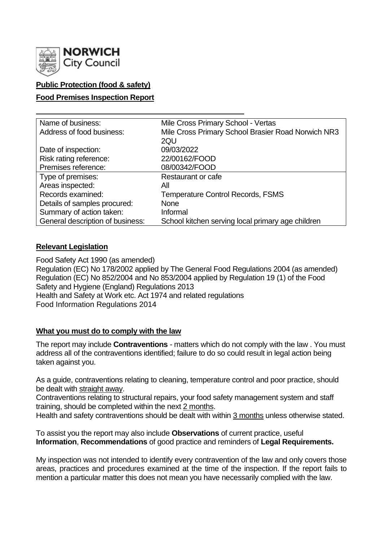

# **Public Protection (food & safety)**

### **Food Premises Inspection Report**

| Name of business:                | Mile Cross Primary School - Vertas                 |  |  |  |  |
|----------------------------------|----------------------------------------------------|--|--|--|--|
| Address of food business:        | Mile Cross Primary School Brasier Road Norwich NR3 |  |  |  |  |
|                                  | 2QU                                                |  |  |  |  |
| Date of inspection:              | 09/03/2022                                         |  |  |  |  |
| Risk rating reference:           | 22/00162/FOOD                                      |  |  |  |  |
| Premises reference:              | 08/00342/FOOD                                      |  |  |  |  |
| Type of premises:                | Restaurant or cafe                                 |  |  |  |  |
| Areas inspected:                 | Αll                                                |  |  |  |  |
| Records examined:                | <b>Temperature Control Records, FSMS</b>           |  |  |  |  |
| Details of samples procured:     | <b>None</b>                                        |  |  |  |  |
| Summary of action taken:         | Informal                                           |  |  |  |  |
| General description of business: | School kitchen serving local primary age children  |  |  |  |  |

#### **Relevant Legislation**

Food Safety Act 1990 (as amended) Regulation (EC) No 178/2002 applied by The General Food Regulations 2004 (as amended) Regulation (EC) No 852/2004 and No 853/2004 applied by Regulation 19 (1) of the Food Safety and Hygiene (England) Regulations 2013 Health and Safety at Work etc. Act 1974 and related regulations Food Information Regulations 2014

#### **What you must do to comply with the law**

The report may include **Contraventions** - matters which do not comply with the law . You must address all of the contraventions identified; failure to do so could result in legal action being taken against you.

As a guide, contraventions relating to cleaning, temperature control and poor practice, should be dealt with straight away.

Contraventions relating to structural repairs, your food safety management system and staff training, should be completed within the next 2 months.

Health and safety contraventions should be dealt with within 3 months unless otherwise stated.

To assist you the report may also include **Observations** of current practice, useful **Information**, **Recommendations** of good practice and reminders of **Legal Requirements.**

My inspection was not intended to identify every contravention of the law and only covers those areas, practices and procedures examined at the time of the inspection. If the report fails to mention a particular matter this does not mean you have necessarily complied with the law.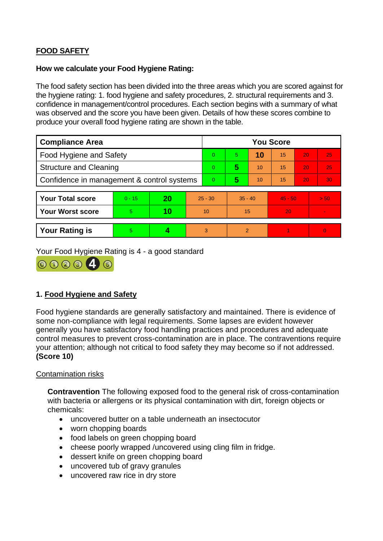# **FOOD SAFETY**

### **How we calculate your Food Hygiene Rating:**

The food safety section has been divided into the three areas which you are scored against for the hygiene rating: 1. food hygiene and safety procedures, 2. structural requirements and 3. confidence in management/control procedures. Each section begins with a summary of what was observed and the score you have been given. Details of how these scores combine to produce your overall food hygiene rating are shown in the table.

| <b>Compliance Area</b>                     |          |    |           | <b>You Score</b> |                |    |           |    |          |  |
|--------------------------------------------|----------|----|-----------|------------------|----------------|----|-----------|----|----------|--|
| <b>Food Hygiene and Safety</b>             |          |    |           | 0                | 5.             | 10 | 15        | 20 | 25       |  |
| <b>Structure and Cleaning</b>              |          |    |           | 0                | 5              | 10 | 15        | 20 | 25       |  |
| Confidence in management & control systems |          |    |           | 0                | 5              | 10 | 15        | 20 | 30       |  |
|                                            |          |    |           |                  |                |    |           |    |          |  |
| <b>Your Total score</b>                    | $0 - 15$ | 20 | $25 - 30$ |                  | $35 - 40$      |    | $45 - 50$ |    | > 50     |  |
| <b>Your Worst score</b>                    | 5        | 10 | 10        |                  | 15             |    | 20        |    |          |  |
|                                            |          |    |           |                  |                |    |           |    |          |  |
| <b>Your Rating is</b>                      | 5        |    |           | 3                | $\overline{2}$ |    |           |    | $\Omega$ |  |

Your Food Hygiene Rating is 4 - a good standard



# **1. Food Hygiene and Safety**

Food hygiene standards are generally satisfactory and maintained. There is evidence of some non-compliance with legal requirements. Some lapses are evident however generally you have satisfactory food handling practices and procedures and adequate control measures to prevent cross-contamination are in place. The contraventions require your attention; although not critical to food safety they may become so if not addressed. **(Score 10)**

# Contamination risks

**Contravention** The following exposed food to the general risk of cross-contamination with bacteria or allergens or its physical contamination with dirt, foreign objects or chemicals:

- uncovered butter on a table underneath an insectocutor
- worn chopping boards
- food labels on green chopping board
- cheese poorly wrapped /uncovered using cling film in fridge.
- dessert knife on green chopping board
- uncovered tub of gravy granules
- uncovered raw rice in dry store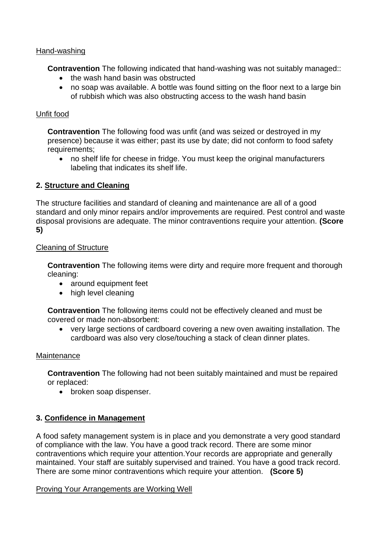### Hand-washing

**Contravention** The following indicated that hand-washing was not suitably managed::

- the wash hand basin was obstructed
- no soap was available. A bottle was found sitting on the floor next to a large bin of rubbish which was also obstructing access to the wash hand basin

### Unfit food

**Contravention** The following food was unfit (and was seized or destroyed in my presence) because it was either; past its use by date; did not conform to food safety requirements;

• no shelf life for cheese in fridge. You must keep the original manufacturers labeling that indicates its shelf life.

# **2. Structure and Cleaning**

The structure facilities and standard of cleaning and maintenance are all of a good standard and only minor repairs and/or improvements are required. Pest control and waste disposal provisions are adequate. The minor contraventions require your attention. **(Score 5)**

#### Cleaning of Structure

**Contravention** The following items were dirty and require more frequent and thorough cleaning:

- around equipment feet
- high level cleaning

**Contravention** The following items could not be effectively cleaned and must be covered or made non-absorbent:

• very large sections of cardboard covering a new oven awaiting installation. The cardboard was also very close/touching a stack of clean dinner plates.

#### Maintenance

**Contravention** The following had not been suitably maintained and must be repaired or replaced:

• broken soap dispenser.

# **3. Confidence in Management**

A food safety management system is in place and you demonstrate a very good standard of compliance with the law. You have a good track record. There are some minor contraventions which require your attention.Your records are appropriate and generally maintained. Your staff are suitably supervised and trained. You have a good track record. There are some minor contraventions which require your attention. **(Score 5)**

Proving Your Arrangements are Working Well